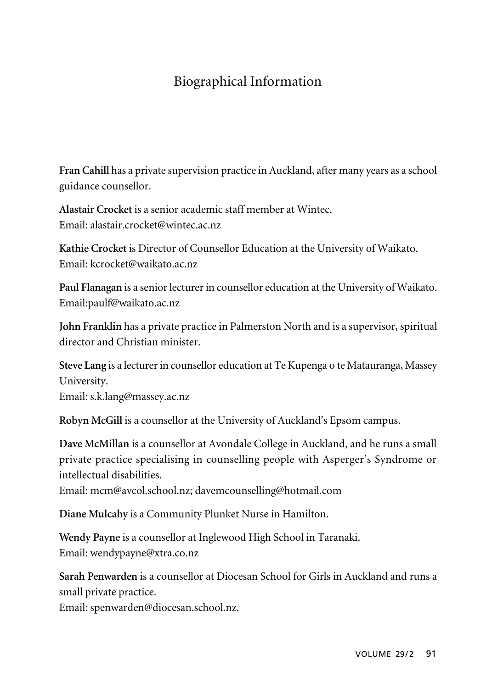## Biographical Information

**Fran Cahill** has a private supervision practice in Auckland, after many years as a school guidance counsellor.

**Alastair Crocket** is a senior academic staff member at Wintec. Email: alastair.crocket@wintec.ac.nz

**Kathie Crocket** is Director of Counsellor Education at the University of Waikato. Email: kcrocket@waikato.ac.nz

**Paul Flanagan** is a senior lecturer in counsellor education at the University of Waikato. Email:paulf@waikato.ac.nz

**John Franklin** has a private practice in Palmerston North and is a supervisor, spiritual director and Christian minister.

**Steve Lang** is a lecturer in counsellor education at Te Kupenga o te Matauranga, Massey University. Email: s.k.lang@massey.ac.nz

**Robyn McGill** is a counsellor at the University of Auckland's Epsom campus.

**Dave McMillan** is a counsellor at Avondale College in Auckland, and he runs a small private practice specialising in counselling people with Asperger's Syndrome or intellectual disabilities.

Email: mcm@avcol.school.nz; davemcounselling@hotmail.com

**Diane Mulcahy** is a Community Plunket Nurse in Hamilton.

**Wendy Payne** is a counsellor at Inglewood High School in Taranaki. Email: wendypayne@xtra.co.nz

**Sarah Penwarden** is a counsellor at Diocesan School for Girls in Auckland and runs a small private practice.

Email: spenwarden@diocesan.school.nz.